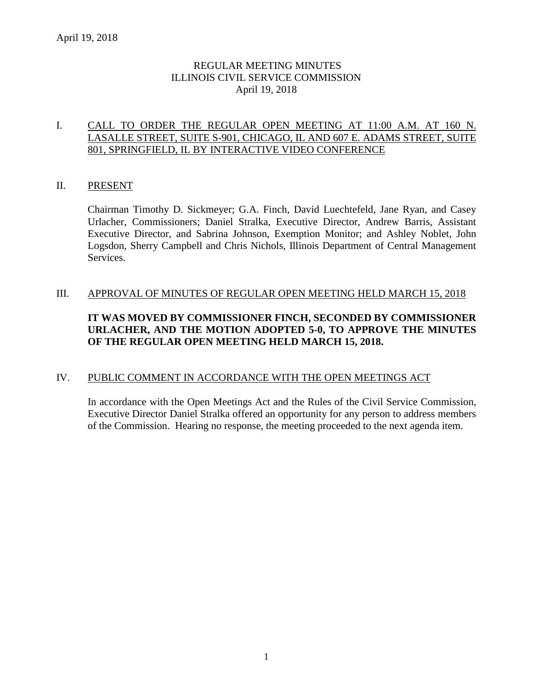# REGULAR MEETING MINUTES ILLINOIS CIVIL SERVICE COMMISSION April 19, 2018

## I. CALL TO ORDER THE REGULAR OPEN MEETING AT 11:00 A.M. AT 160 N. LASALLE STREET, SUITE S-901, CHICAGO, IL AND 607 E. ADAMS STREET, SUITE 801, SPRINGFIELD, IL BY INTERACTIVE VIDEO CONFERENCE

## II. PRESENT

Chairman Timothy D. Sickmeyer; G.A. Finch, David Luechtefeld, Jane Ryan, and Casey Urlacher, Commissioners; Daniel Stralka, Executive Director, Andrew Barris, Assistant Executive Director, and Sabrina Johnson, Exemption Monitor; and Ashley Noblet, John Logsdon, Sherry Campbell and Chris Nichols, Illinois Department of Central Management Services.

## III. APPROVAL OF MINUTES OF REGULAR OPEN MEETING HELD MARCH 15, 2018

# **IT WAS MOVED BY COMMISSIONER FINCH, SECONDED BY COMMISSIONER URLACHER, AND THE MOTION ADOPTED 5-0, TO APPROVE THE MINUTES OF THE REGULAR OPEN MEETING HELD MARCH 15, 2018.**

#### IV. PUBLIC COMMENT IN ACCORDANCE WITH THE OPEN MEETINGS ACT

In accordance with the Open Meetings Act and the Rules of the Civil Service Commission, Executive Director Daniel Stralka offered an opportunity for any person to address members of the Commission. Hearing no response, the meeting proceeded to the next agenda item.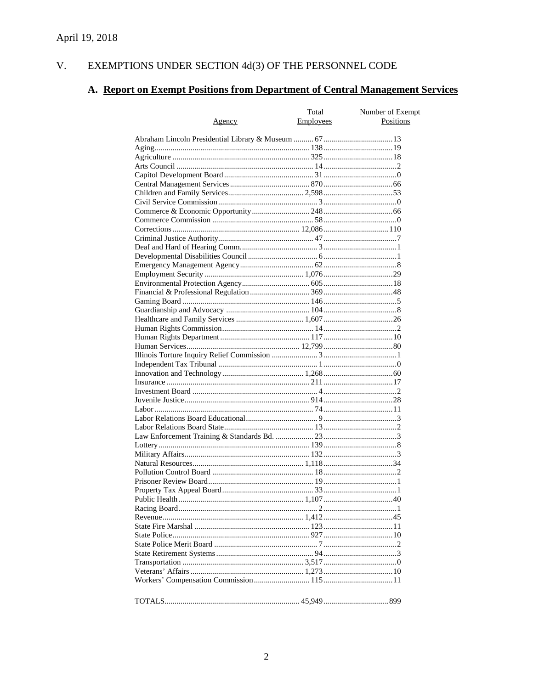#### EXEMPTIONS UNDER SECTION  $4d(3)$  OF THE PERSONNEL CODE V.

# A. Report on Exempt Positions from Department of Central Management Services

|               | Total     | Number of Exempt |
|---------------|-----------|------------------|
| <u>Agency</u> | Employees | Positions        |
|               |           |                  |
|               |           |                  |
|               |           |                  |
|               |           |                  |
|               |           |                  |
|               |           |                  |
|               |           |                  |
|               |           |                  |
|               |           |                  |
|               |           |                  |
|               |           |                  |
|               |           |                  |
|               |           |                  |
|               |           |                  |
|               |           |                  |
|               |           |                  |
|               |           |                  |
|               |           |                  |
|               |           |                  |
|               |           |                  |
|               |           |                  |
|               |           |                  |
|               |           |                  |
|               |           |                  |
|               |           |                  |
|               |           |                  |
|               |           |                  |
|               |           |                  |
|               |           |                  |
|               |           |                  |
|               |           |                  |
|               |           |                  |
|               |           |                  |
|               |           |                  |
|               |           |                  |
|               |           |                  |
|               |           |                  |
|               |           |                  |
|               |           |                  |
|               |           |                  |
|               |           |                  |
|               |           |                  |
|               |           |                  |
|               |           |                  |
|               |           |                  |
|               |           |                  |
|               |           |                  |
|               |           |                  |
|               |           |                  |
|               |           |                  |
|               |           |                  |
|               |           |                  |
|               |           |                  |
|               |           |                  |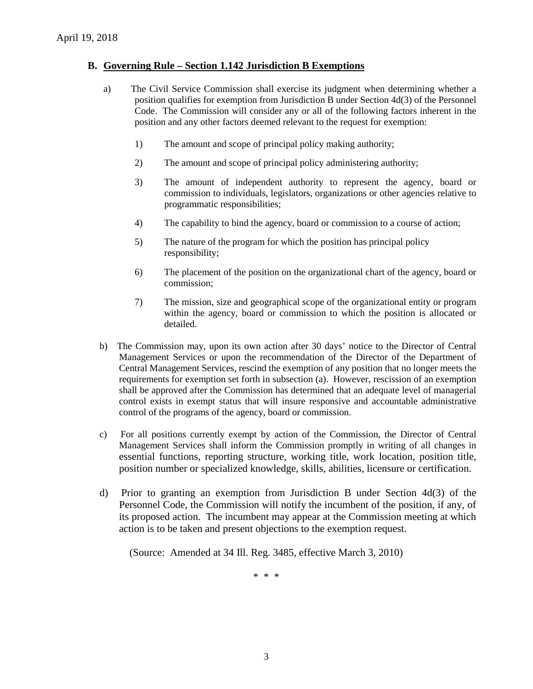## **B. Governing Rule – Section 1.142 Jurisdiction B Exemptions**

- a) The Civil Service Commission shall exercise its judgment when determining whether a position qualifies for exemption from Jurisdiction B under Section 4d(3) of the Personnel Code. The Commission will consider any or all of the following factors inherent in the position and any other factors deemed relevant to the request for exemption:
	- 1) The amount and scope of principal policy making authority;
	- 2) The amount and scope of principal policy administering authority;
	- 3) The amount of independent authority to represent the agency, board or commission to individuals, legislators, organizations or other agencies relative to programmatic responsibilities;
	- 4) The capability to bind the agency, board or commission to a course of action;
	- 5) The nature of the program for which the position has principal policy responsibility;
	- 6) The placement of the position on the organizational chart of the agency, board or commission;
	- 7) The mission, size and geographical scope of the organizational entity or program within the agency, board or commission to which the position is allocated or detailed.
- b) The Commission may, upon its own action after 30 days' notice to the Director of Central Management Services or upon the recommendation of the Director of the Department of Central Management Services, rescind the exemption of any position that no longer meets the requirements for exemption set forth in subsection (a). However, rescission of an exemption shall be approved after the Commission has determined that an adequate level of managerial control exists in exempt status that will insure responsive and accountable administrative control of the programs of the agency, board or commission.
- c) For all positions currently exempt by action of the Commission, the Director of Central Management Services shall inform the Commission promptly in writing of all changes in essential functions, reporting structure, working title, work location, position title, position number or specialized knowledge, skills, abilities, licensure or certification.
- d) Prior to granting an exemption from Jurisdiction B under Section 4d(3) of the Personnel Code, the Commission will notify the incumbent of the position, if any, of its proposed action. The incumbent may appear at the Commission meeting at which action is to be taken and present objections to the exemption request.

(Source: Amended at 34 Ill. Reg. 3485, effective March 3, 2010)

\* \* \*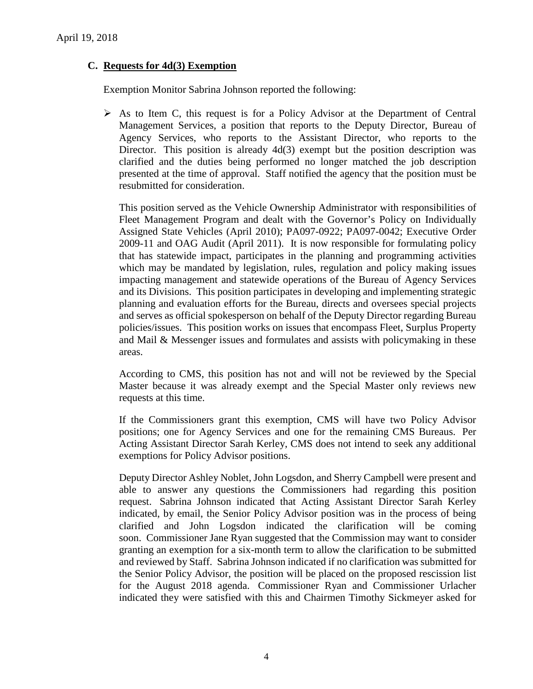## **C. Requests for 4d(3) Exemption**

Exemption Monitor Sabrina Johnson reported the following:

 $\triangleright$  As to Item C, this request is for a Policy Advisor at the Department of Central Management Services, a position that reports to the Deputy Director, Bureau of Agency Services, who reports to the Assistant Director, who reports to the Director. This position is already 4d(3) exempt but the position description was clarified and the duties being performed no longer matched the job description presented at the time of approval. Staff notified the agency that the position must be resubmitted for consideration.

This position served as the Vehicle Ownership Administrator with responsibilities of Fleet Management Program and dealt with the Governor's Policy on Individually Assigned State Vehicles (April 2010); PA097-0922; PA097-0042; Executive Order 2009-11 and OAG Audit (April 2011). It is now responsible for formulating policy that has statewide impact, participates in the planning and programming activities which may be mandated by legislation, rules, regulation and policy making issues impacting management and statewide operations of the Bureau of Agency Services and its Divisions. This position participates in developing and implementing strategic planning and evaluation efforts for the Bureau, directs and oversees special projects and serves as official spokesperson on behalf of the Deputy Director regarding Bureau policies/issues. This position works on issues that encompass Fleet, Surplus Property and Mail & Messenger issues and formulates and assists with policymaking in these areas.

According to CMS, this position has not and will not be reviewed by the Special Master because it was already exempt and the Special Master only reviews new requests at this time.

If the Commissioners grant this exemption, CMS will have two Policy Advisor positions; one for Agency Services and one for the remaining CMS Bureaus. Per Acting Assistant Director Sarah Kerley, CMS does not intend to seek any additional exemptions for Policy Advisor positions.

Deputy Director Ashley Noblet, John Logsdon, and Sherry Campbell were present and able to answer any questions the Commissioners had regarding this position request. Sabrina Johnson indicated that Acting Assistant Director Sarah Kerley indicated, by email, the Senior Policy Advisor position was in the process of being clarified and John Logsdon indicated the clarification will be coming soon. Commissioner Jane Ryan suggested that the Commission may want to consider granting an exemption for a six-month term to allow the clarification to be submitted and reviewed by Staff. Sabrina Johnson indicated if no clarification was submitted for the Senior Policy Advisor, the position will be placed on the proposed rescission list for the August 2018 agenda. Commissioner Ryan and Commissioner Urlacher indicated they were satisfied with this and Chairmen Timothy Sickmeyer asked for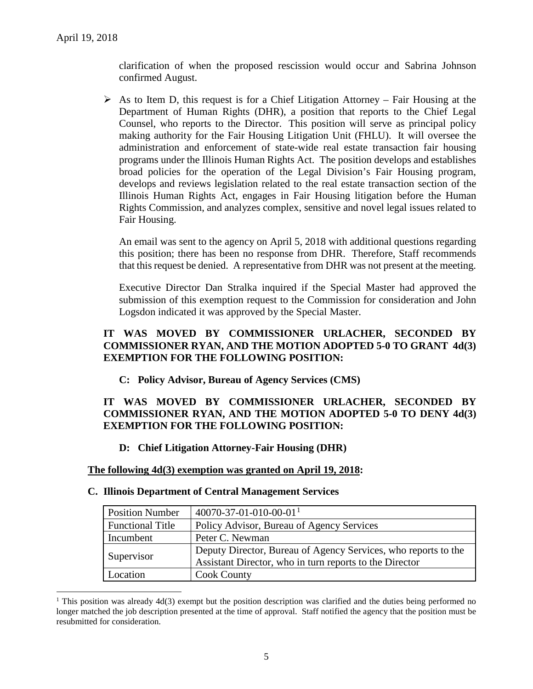$\overline{a}$ 

clarification of when the proposed rescission would occur and Sabrina Johnson confirmed August.

 $\triangleright$  As to Item D, this request is for a Chief Litigation Attorney – Fair Housing at the Department of Human Rights (DHR), a position that reports to the Chief Legal Counsel, who reports to the Director. This position will serve as principal policy making authority for the Fair Housing Litigation Unit (FHLU). It will oversee the administration and enforcement of state-wide real estate transaction fair housing programs under the Illinois Human Rights Act. The position develops and establishes broad policies for the operation of the Legal Division's Fair Housing program, develops and reviews legislation related to the real estate transaction section of the Illinois Human Rights Act, engages in Fair Housing litigation before the Human Rights Commission, and analyzes complex, sensitive and novel legal issues related to Fair Housing.

An email was sent to the agency on April 5, 2018 with additional questions regarding this position; there has been no response from DHR. Therefore, Staff recommends that this request be denied. A representative from DHR was not present at the meeting.

Executive Director Dan Stralka inquired if the Special Master had approved the submission of this exemption request to the Commission for consideration and John Logsdon indicated it was approved by the Special Master.

## **IT WAS MOVED BY COMMISSIONER URLACHER, SECONDED BY COMMISSIONER RYAN, AND THE MOTION ADOPTED 5-0 TO GRANT 4d(3) EXEMPTION FOR THE FOLLOWING POSITION:**

**C: Policy Advisor, Bureau of Agency Services (CMS)** 

# **IT WAS MOVED BY COMMISSIONER URLACHER, SECONDED BY COMMISSIONER RYAN, AND THE MOTION ADOPTED 5-0 TO DENY 4d(3) EXEMPTION FOR THE FOLLOWING POSITION:**

# **D: Chief Litigation Attorney-Fair Housing (DHR)**

#### **The following 4d(3) exemption was granted on April 19, 2018:**

#### **C. Illinois Department of Central Management Services**

| <b>Position Number</b>  | $40070 - 37 - 01 - 010 - 00 - 01$ <sup>1</sup>                 |
|-------------------------|----------------------------------------------------------------|
| <b>Functional Title</b> | Policy Advisor, Bureau of Agency Services                      |
| Incumbent               | Peter C. Newman                                                |
| Supervisor              | Deputy Director, Bureau of Agency Services, who reports to the |
|                         | Assistant Director, who in turn reports to the Director        |
| Location                | <b>Cook County</b>                                             |

<span id="page-4-0"></span><sup>&</sup>lt;sup>1</sup> This position was already 4d(3) exempt but the position description was clarified and the duties being performed no longer matched the job description presented at the time of approval. Staff notified the agency that the position must be resubmitted for consideration.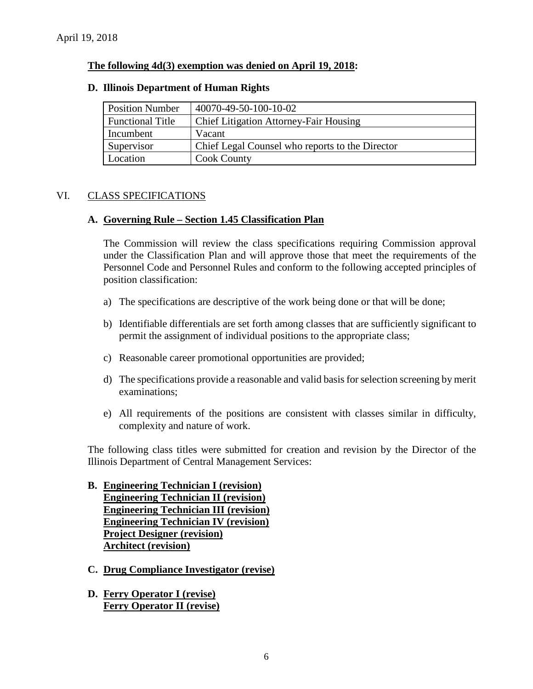## **The following 4d(3) exemption was denied on April 19, 2018:**

| <b>Position Number</b>  | 40070-49-50-100-10-02                           |
|-------------------------|-------------------------------------------------|
| <b>Functional Title</b> | <b>Chief Litigation Attorney-Fair Housing</b>   |
| Incumbent               | Vacant                                          |
| Supervisor              | Chief Legal Counsel who reports to the Director |
| Location                | <b>Cook County</b>                              |

#### **D. Illinois Department of Human Rights**

# VI. CLASS SPECIFICATIONS

## **A. Governing Rule – Section 1.45 Classification Plan**

The Commission will review the class specifications requiring Commission approval under the Classification Plan and will approve those that meet the requirements of the Personnel Code and Personnel Rules and conform to the following accepted principles of position classification:

- a) The specifications are descriptive of the work being done or that will be done;
- b) Identifiable differentials are set forth among classes that are sufficiently significant to permit the assignment of individual positions to the appropriate class;
- c) Reasonable career promotional opportunities are provided;
- d) The specifications provide a reasonable and valid basis for selection screening by merit examinations;
- e) All requirements of the positions are consistent with classes similar in difficulty, complexity and nature of work.

The following class titles were submitted for creation and revision by the Director of the Illinois Department of Central Management Services:

- **B. Engineering Technician I (revision) Engineering Technician II (revision) Engineering Technician III (revision) Engineering Technician IV (revision) Project Designer (revision) Architect (revision)**
- **C. Drug Compliance Investigator (revise)**
- **D. Ferry Operator I (revise) Ferry Operator II (revise)**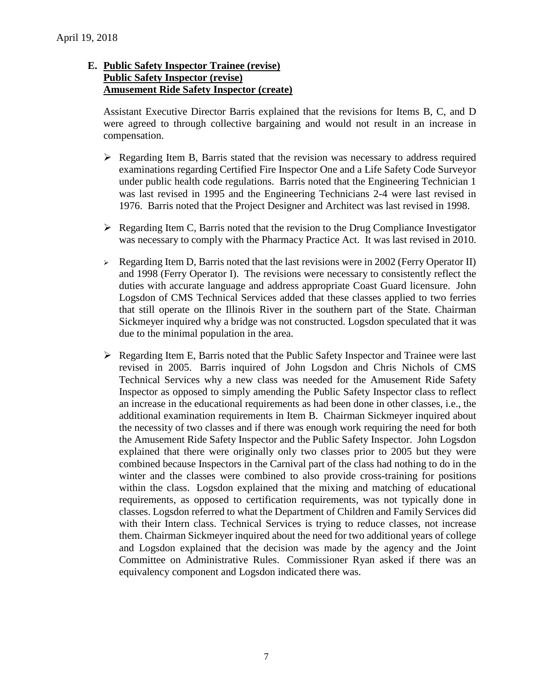# **E. Public Safety Inspector Trainee (revise) Public Safety Inspector (revise) Amusement Ride Safety Inspector (create)**

Assistant Executive Director Barris explained that the revisions for Items B, C, and D were agreed to through collective bargaining and would not result in an increase in compensation.

- $\triangleright$  Regarding Item B, Barris stated that the revision was necessary to address required examinations regarding Certified Fire Inspector One and a Life Safety Code Surveyor under public health code regulations. Barris noted that the Engineering Technician 1 was last revised in 1995 and the Engineering Technicians 2-4 were last revised in 1976. Barris noted that the Project Designer and Architect was last revised in 1998.
- $\triangleright$  Regarding Item C, Barris noted that the revision to the Drug Compliance Investigator was necessary to comply with the Pharmacy Practice Act. It was last revised in 2010.
- $\triangleright$  Regarding Item D, Barris noted that the last revisions were in 2002 (Ferry Operator II) and 1998 (Ferry Operator I). The revisions were necessary to consistently reflect the duties with accurate language and address appropriate Coast Guard licensure. John Logsdon of CMS Technical Services added that these classes applied to two ferries that still operate on the Illinois River in the southern part of the State. Chairman Sickmeyer inquired why a bridge was not constructed. Logsdon speculated that it was due to the minimal population in the area.
- $\triangleright$  Regarding Item E, Barris noted that the Public Safety Inspector and Trainee were last revised in 2005. Barris inquired of John Logsdon and Chris Nichols of CMS Technical Services why a new class was needed for the Amusement Ride Safety Inspector as opposed to simply amending the Public Safety Inspector class to reflect an increase in the educational requirements as had been done in other classes, i.e., the additional examination requirements in Item B. Chairman Sickmeyer inquired about the necessity of two classes and if there was enough work requiring the need for both the Amusement Ride Safety Inspector and the Public Safety Inspector. John Logsdon explained that there were originally only two classes prior to 2005 but they were combined because Inspectors in the Carnival part of the class had nothing to do in the winter and the classes were combined to also provide cross-training for positions within the class. Logsdon explained that the mixing and matching of educational requirements, as opposed to certification requirements, was not typically done in classes. Logsdon referred to what the Department of Children and Family Services did with their Intern class. Technical Services is trying to reduce classes, not increase them. Chairman Sickmeyer inquired about the need for two additional years of college and Logsdon explained that the decision was made by the agency and the Joint Committee on Administrative Rules. Commissioner Ryan asked if there was an equivalency component and Logsdon indicated there was.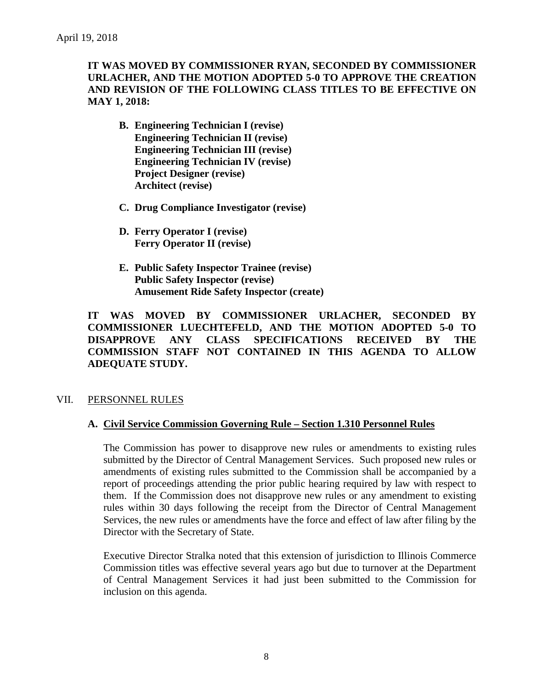# **IT WAS MOVED BY COMMISSIONER RYAN, SECONDED BY COMMISSIONER URLACHER, AND THE MOTION ADOPTED 5-0 TO APPROVE THE CREATION AND REVISION OF THE FOLLOWING CLASS TITLES TO BE EFFECTIVE ON MAY 1, 2018:**

- **B. Engineering Technician I (revise) Engineering Technician II (revise) Engineering Technician III (revise) Engineering Technician IV (revise) Project Designer (revise) Architect (revise)**
- **C. Drug Compliance Investigator (revise)**
- **D. Ferry Operator I (revise) Ferry Operator II (revise)**
- **E. Public Safety Inspector Trainee (revise) Public Safety Inspector (revise) Amusement Ride Safety Inspector (create)**

**IT WAS MOVED BY COMMISSIONER URLACHER, SECONDED BY COMMISSIONER LUECHTEFELD, AND THE MOTION ADOPTED 5-0 TO DISAPPROVE ANY CLASS SPECIFICATIONS RECEIVED BY THE COMMISSION STAFF NOT CONTAINED IN THIS AGENDA TO ALLOW ADEQUATE STUDY.** 

# VII. PERSONNEL RULES

#### **A. Civil Service Commission Governing Rule – Section 1.310 Personnel Rules**

The Commission has power to disapprove new rules or amendments to existing rules submitted by the Director of Central Management Services. Such proposed new rules or amendments of existing rules submitted to the Commission shall be accompanied by a report of proceedings attending the prior public hearing required by law with respect to them. If the Commission does not disapprove new rules or any amendment to existing rules within 30 days following the receipt from the Director of Central Management Services, the new rules or amendments have the force and effect of law after filing by the Director with the Secretary of State.

Executive Director Stralka noted that this extension of jurisdiction to Illinois Commerce Commission titles was effective several years ago but due to turnover at the Department of Central Management Services it had just been submitted to the Commission for inclusion on this agenda.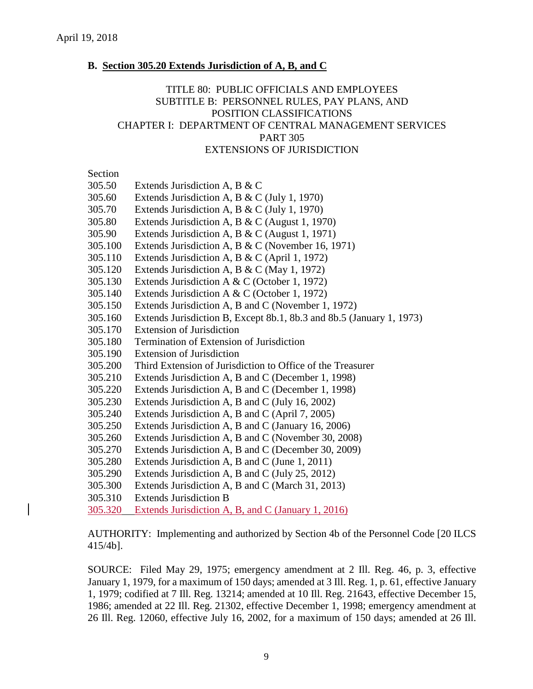#### **B. Section 305.20 Extends Jurisdiction of A, B, and C**

## TITLE 80: PUBLIC OFFICIALS AND EMPLOYEES SUBTITLE B: PERSONNEL RULES, PAY PLANS, AND POSITION CLASSIFICATIONS CHAPTER I: DEPARTMENT OF CENTRAL MANAGEMENT SERVICES PART 305 EXTENSIONS OF JURISDICTION

# Section

| 305.50<br>Extends Jurisdiction A, B & C |  |  |
|-----------------------------------------|--|--|
|-----------------------------------------|--|--|

- 305.60 Extends Jurisdiction A, B & C (July 1, 1970)
- 305.70 Extends Jurisdiction A, B & C (July 1, 1970)
- 305.80 Extends Jurisdiction A, B & C (August 1, 1970)
- 305.90 Extends Jurisdiction A, B & C (August 1, 1971)
- 305.100 Extends Jurisdiction A, B & C (November 16, 1971)
- 305.110 Extends Jurisdiction A, B & C (April 1, 1972)
- 305.120 Extends Jurisdiction A, B & C (May 1, 1972)
- 305.130 Extends Jurisdiction A & C (October 1, 1972)
- 305.140 Extends Jurisdiction A & C (October 1, 1972)
- 305.150 Extends Jurisdiction A, B and C (November 1, 1972)
- 305.160 Extends Jurisdiction B, Except 8b.1, 8b.3 and 8b.5 (January 1, 1973)
- 305.170 Extension of Jurisdiction
- 305.180 Termination of Extension of Jurisdiction
- 305.190 Extension of Jurisdiction
- 305.200 Third Extension of Jurisdiction to Office of the Treasurer
- 305.210 Extends Jurisdiction A, B and C (December 1, 1998)
- 305.220 Extends Jurisdiction A, B and C (December 1, 1998)
- 305.230 Extends Jurisdiction A, B and C (July 16, 2002)
- 305.240 Extends Jurisdiction A, B and C (April 7, 2005)
- 305.250 Extends Jurisdiction A, B and C (January 16, 2006)
- 305.260 Extends Jurisdiction A, B and C (November 30, 2008)
- 305.270 Extends Jurisdiction A, B and C (December 30, 2009)
- 305.280 Extends Jurisdiction A, B and C (June 1, 2011)
- 305.290 Extends Jurisdiction A, B and C (July 25, 2012)
- 305.300 Extends Jurisdiction A, B and C (March 31, 2013)
- 305.310 Extends Jurisdiction B
- 305.320 Extends Jurisdiction A, B, and C (January 1, 2016)

AUTHORITY: Implementing and authorized by Section 4b of the Personnel Code [20 ILCS 415/4b].

SOURCE: Filed May 29, 1975; emergency amendment at 2 Ill. Reg. 46, p. 3, effective January 1, 1979, for a maximum of 150 days; amended at 3 Ill. Reg. 1, p. 61, effective January 1, 1979; codified at 7 Ill. Reg. 13214; amended at 10 Ill. Reg. 21643, effective December 15, 1986; amended at 22 Ill. Reg. 21302, effective December 1, 1998; emergency amendment at 26 Ill. Reg. 12060, effective July 16, 2002, for a maximum of 150 days; amended at 26 Ill.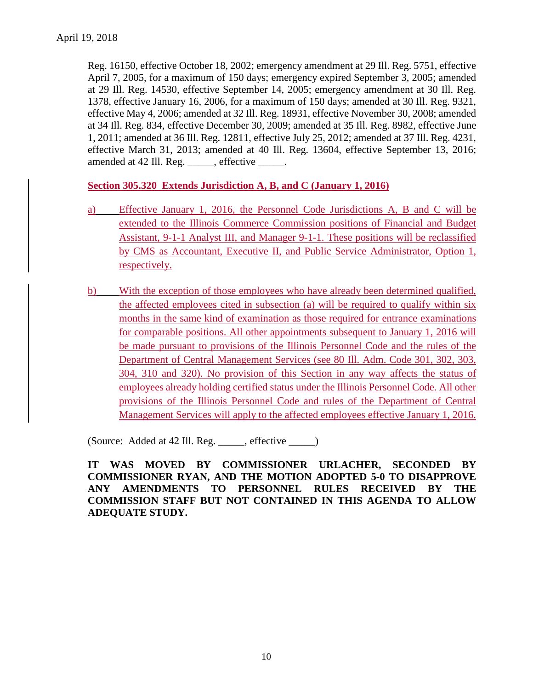Reg. 16150, effective October 18, 2002; emergency amendment at 29 Ill. Reg. 5751, effective April 7, 2005, for a maximum of 150 days; emergency expired September 3, 2005; amended at 29 Ill. Reg. 14530, effective September 14, 2005; emergency amendment at 30 Ill. Reg. 1378, effective January 16, 2006, for a maximum of 150 days; amended at 30 Ill. Reg. 9321, effective May 4, 2006; amended at 32 Ill. Reg. 18931, effective November 30, 2008; amended at 34 Ill. Reg. 834, effective December 30, 2009; amended at 35 Ill. Reg. 8982, effective June 1, 2011; amended at 36 Ill. Reg. 12811, effective July 25, 2012; amended at 37 Ill. Reg. 4231, effective March 31, 2013; amended at 40 Ill. Reg. 13604, effective September 13, 2016; amended at 42 Ill. Reg. \_\_\_\_\_, effective \_\_\_\_\_.

**Section 305.320 Extends Jurisdiction A, B, and C (January 1, 2016)**

- a) Effective January 1, 2016, the Personnel Code Jurisdictions A, B and C will be extended to the Illinois Commerce Commission positions of Financial and Budget Assistant, 9-1-1 Analyst III, and Manager 9-1-1. These positions will be reclassified by CMS as Accountant, Executive II, and Public Service Administrator, Option 1, respectively.
- b) With the exception of those employees who have already been determined qualified, the affected employees cited in subsection (a) will be required to qualify within six months in the same kind of examination as those required for entrance examinations for comparable positions. All other appointments subsequent to January 1, 2016 will be made pursuant to provisions of the Illinois Personnel Code and the rules of the Department of Central Management Services (see 80 Ill. Adm. Code 301, 302, 303, 304, 310 and 320). No provision of this Section in any way affects the status of employees already holding certified status under the Illinois Personnel Code. All other provisions of the Illinois Personnel Code and rules of the Department of Central Management Services will apply to the affected employees effective January 1, 2016.

(Source: Added at 42 Ill. Reg. \_\_\_\_\_, effective \_\_\_\_\_)

**IT WAS MOVED BY COMMISSIONER URLACHER, SECONDED BY COMMISSIONER RYAN, AND THE MOTION ADOPTED 5-0 TO DISAPPROVE ANY AMENDMENTS TO PERSONNEL RULES RECEIVED BY THE COMMISSION STAFF BUT NOT CONTAINED IN THIS AGENDA TO ALLOW ADEQUATE STUDY.**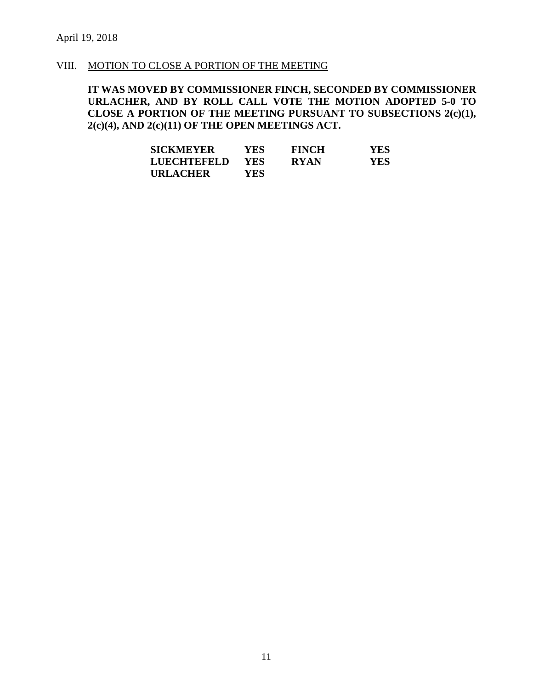#### VIII. MOTION TO CLOSE A PORTION OF THE MEETING

**IT WAS MOVED BY COMMISSIONER FINCH, SECONDED BY COMMISSIONER URLACHER, AND BY ROLL CALL VOTE THE MOTION ADOPTED 5-0 TO CLOSE A PORTION OF THE MEETING PURSUANT TO SUBSECTIONS 2(c)(1), 2(c)(4), AND 2(c)(11) OF THE OPEN MEETINGS ACT.**

| <b>SICKMEYER</b> | <b>YES</b> | <b>FINCH</b> | <b>YES</b> |
|------------------|------------|--------------|------------|
| LUECHTEFELD      | YES        | <b>RYAN</b>  | <b>YES</b> |
| URLACHER         | YES.       |              |            |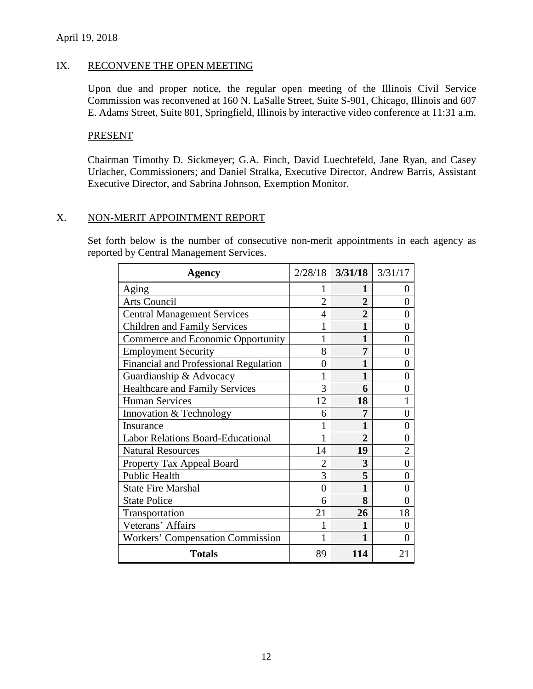#### April 19, 2018

#### IX. RECONVENE THE OPEN MEETING

Upon due and proper notice, the regular open meeting of the Illinois Civil Service Commission was reconvened at 160 N. LaSalle Street, Suite S-901, Chicago, Illinois and 607 E. Adams Street, Suite 801, Springfield, Illinois by interactive video conference at 11:31 a.m.

#### PRESENT

Chairman Timothy D. Sickmeyer; G.A. Finch, David Luechtefeld, Jane Ryan, and Casey Urlacher, Commissioners; and Daniel Stralka, Executive Director, Andrew Barris, Assistant Executive Director, and Sabrina Johnson, Exemption Monitor.

## X. NON-MERIT APPOINTMENT REPORT

Set forth below is the number of consecutive non-merit appointments in each agency as reported by Central Management Services.

| Agency                                       |                | $2/28/18$ 3/31/18 3/31/17 |                   |
|----------------------------------------------|----------------|---------------------------|-------------------|
| Aging                                        |                | 1                         | 0                 |
| <b>Arts Council</b>                          | $\overline{2}$ | $\overline{2}$            | $\mathbf{\Omega}$ |
| <b>Central Management Services</b>           | 4              | $\overline{2}$            | 0                 |
| <b>Children and Family Services</b>          |                | 1                         | 0                 |
| Commerce and Economic Opportunity            | 1              | 1                         | 0                 |
| <b>Employment Security</b>                   | 8              | 7                         | 0                 |
| <b>Financial and Professional Regulation</b> | 0              |                           | 0                 |
| Guardianship & Advocacy                      | 1              | 1                         | 0                 |
| <b>Healthcare and Family Services</b>        | 3              | 6                         | $\mathbf{\Omega}$ |
| <b>Human Services</b>                        | 12             | 18                        |                   |
| Innovation & Technology                      | 6              | 7                         | $\mathbf{\Omega}$ |
| Insurance                                    |                | 1                         | $\mathbf{\Omega}$ |
| <b>Labor Relations Board-Educational</b>     | 1              | $\overline{2}$            | 0                 |
| <b>Natural Resources</b>                     | 14             | 19                        | $\overline{2}$    |
| Property Tax Appeal Board                    |                | 3                         | 0                 |
| <b>Public Health</b>                         | 3              | 5                         | 0                 |
| <b>State Fire Marshal</b>                    | $\theta$       | 1                         | 0                 |
| <b>State Police</b>                          | 6              | 8                         | 0                 |
| Transportation                               | 21             | 26                        | 18                |
| Veterans' Affairs                            |                | 1                         | 0                 |
| <b>Workers' Compensation Commission</b>      |                | 1                         |                   |
| <b>Totals</b>                                | 89             | 114                       | 21                |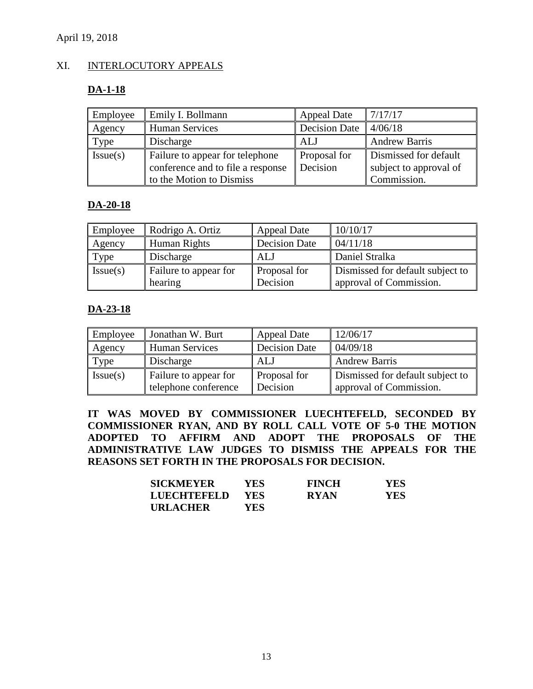# XI. INTERLOCUTORY APPEALS

# **DA-1-18**

| Employee | Emily I. Bollmann                                                                                | <b>Appeal Date</b>       | 7/17/17                                                        |
|----------|--------------------------------------------------------------------------------------------------|--------------------------|----------------------------------------------------------------|
| Agency   | <b>Human Services</b>                                                                            | <b>Decision Date</b>     | 4/06/18                                                        |
| Type     | Discharge                                                                                        | <b>ALJ</b>               | <b>Andrew Barris</b>                                           |
| Issue(s) | Failure to appear for telephone<br>conference and to file a response<br>to the Motion to Dismiss | Proposal for<br>Decision | Dismissed for default<br>subject to approval of<br>Commission. |

## **DA-20-18**

| Employee | Rodrigo A. Ortiz                 | <b>Appeal Date</b>       | 10/10/17                                                    |
|----------|----------------------------------|--------------------------|-------------------------------------------------------------|
| Agency   | Human Rights                     | <b>Decision Date</b>     | 04/11/18                                                    |
| Type     | Discharge                        | ALJ                      | Daniel Stralka                                              |
| Issue(s) | Failure to appear for<br>hearing | Proposal for<br>Decision | Dismissed for default subject to<br>approval of Commission. |

# **DA-23-18**

| Employee | Jonathan W. Burt      | <b>Appeal Date</b>   | 12/06/17                         |
|----------|-----------------------|----------------------|----------------------------------|
| Agency   | <b>Human Services</b> | <b>Decision Date</b> | 04/09/18                         |
| Type     | Discharge             | <b>ALJ</b>           | <b>Andrew Barris</b>             |
| Issue(s) | Failure to appear for | Proposal for         | Dismissed for default subject to |
|          | telephone conference  | Decision             | approval of Commission.          |

**IT WAS MOVED BY COMMISSIONER LUECHTEFELD, SECONDED BY COMMISSIONER RYAN, AND BY ROLL CALL VOTE OF 5-0 THE MOTION ADOPTED TO AFFIRM AND ADOPT THE PROPOSALS OF THE ADMINISTRATIVE LAW JUDGES TO DISMISS THE APPEALS FOR THE REASONS SET FORTH IN THE PROPOSALS FOR DECISION.**

| <b>SICKMEYER</b> | YES-       | <b>FINCH</b> | <b>YES</b> |
|------------------|------------|--------------|------------|
| LUECHTEFELD      | <b>YES</b> | <b>RYAN</b>  | YES.       |
| <b>URLACHER</b>  | YES.       |              |            |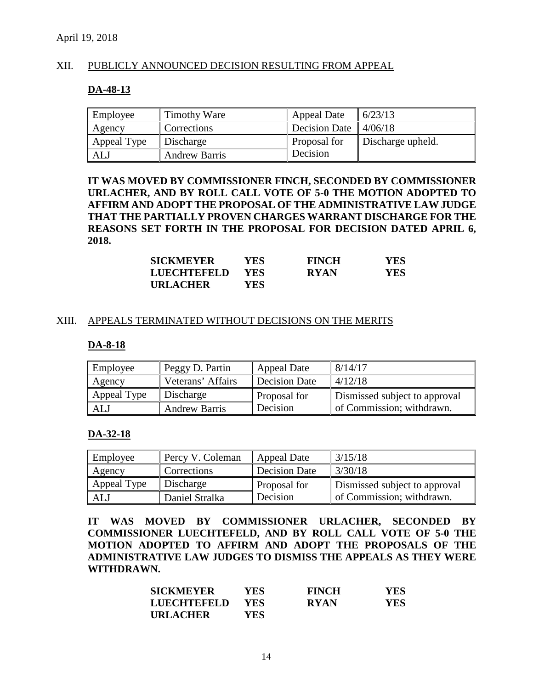## XII. PUBLICLY ANNOUNCED DECISION RESULTING FROM APPEAL

#### **DA-48-13**

| Employee    | Timothy Ware         | Appeal Date          | 6/23/13           |
|-------------|----------------------|----------------------|-------------------|
| Agency      | Corrections          | <b>Decision Date</b> | 4/06/18           |
| Appeal Type | Discharge            | Proposal for         | Discharge upheld. |
| AL.         | <b>Andrew Barris</b> | Decision             |                   |

**IT WAS MOVED BY COMMISSIONER FINCH, SECONDED BY COMMISSIONER URLACHER, AND BY ROLL CALL VOTE OF 5-0 THE MOTION ADOPTED TO AFFIRM AND ADOPT THE PROPOSAL OF THE ADMINISTRATIVE LAW JUDGE THAT THE PARTIALLY PROVEN CHARGES WARRANT DISCHARGE FOR THE REASONS SET FORTH IN THE PROPOSAL FOR DECISION DATED APRIL 6, 2018.** 

| <b>SICKMEYER</b> | YES-       | <b>FINCH</b> | YES. |
|------------------|------------|--------------|------|
| LUECHTEFELD      | <b>YES</b> | <b>RYAN</b>  | YES. |
| <b>URLACHER</b>  | YES.       |              |      |

#### XIII. APPEALS TERMINATED WITHOUT DECISIONS ON THE MERITS

#### **DA-8-18**

| Employee    | Peggy D. Partin      | <b>Appeal Date</b>   | 8/14/17                       |
|-------------|----------------------|----------------------|-------------------------------|
| Agency      | Veterans' Affairs    | <b>Decision Date</b> | 4/12/18                       |
| Appeal Type | Discharge            | Proposal for         | Dismissed subject to approval |
| ALJ         | <b>Andrew Barris</b> | Decision             | of Commission; withdrawn.     |

#### **DA-32-18**

| Employee    | Percy V. Coleman | Appeal Date          | 3/15/18                       |
|-------------|------------------|----------------------|-------------------------------|
| Agency      | Corrections      | <b>Decision Date</b> | 3/30/18                       |
| Appeal Type | Discharge        | Proposal for         | Dismissed subject to approval |
| AL.         | Daniel Stralka   | Decision             | of Commission; withdrawn.     |

**IT WAS MOVED BY COMMISSIONER URLACHER, SECONDED BY COMMISSIONER LUECHTEFELD, AND BY ROLL CALL VOTE OF 5-0 THE MOTION ADOPTED TO AFFIRM AND ADOPT THE PROPOSALS OF THE ADMINISTRATIVE LAW JUDGES TO DISMISS THE APPEALS AS THEY WERE WITHDRAWN.** 

| <b>SICKMEYER</b> | YES-       | <b>FINCH</b> | <b>YES</b> |
|------------------|------------|--------------|------------|
| LUECHTEFELD      | <b>YES</b> | <b>RYAN</b>  | <b>YES</b> |
| <b>URLACHER</b>  | YES.       |              |            |